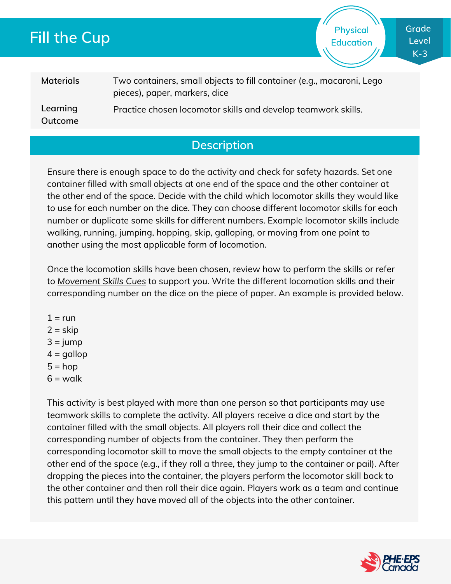## **Fill the Cup**

**Grade Level K-3**

**Physical Education**

| <b>Materials</b>    | Two containers, small objects to fill container (e.g., macaroni, Lego<br>pieces), paper, markers, dice |
|---------------------|--------------------------------------------------------------------------------------------------------|
| Learning<br>Outcome | Practice chosen locomotor skills and develop teamwork skills.                                          |

## **Description**

Ensure there is enough space to do the activity and check for safety hazards. Set one container filled with small objects at one end of the space and the other container at the other end of the space. Decide with the child which locomotor skills they would like to use for each number on the dice. They can choose different locomotor skills for each number or duplicate some skills for different numbers. Example locomotor skills include walking, running, jumping, hopping, skip, galloping, or moving from one point to another using the most applicable form of locomotion.

Once the locomotion skills have been chosen, review how to perform the skills or refer to *[Movement](https://phecanada.ca/sites/default/files/content/docs/Home%20Learning%20Resource/Movement%20Cues/Movement%20Skills%20Cues%201.pdf) Skills Cues* to support you. Write the different locomotion skills and their corresponding number on the dice on the piece of paper. An example is provided below.

- $1 = run$
- $2 =$ skip
- $3 = jump$
- $4 =$  gallop
- $5 = hop$
- $6 = walk$

This activity is best played with more than one person so that participants may use teamwork skills to complete the activity. All players receive a dice and start by the container filled with the small objects. All players roll their dice and collect the corresponding number of objects from the container. They then perform the corresponding locomotor skill to move the small objects to the empty container at the other end of the space (e.g., if they roll a three, they jump to the container or pail). After dropping the pieces into the container, the players perform the locomotor skill back to the other container and then roll their dice again. Players work as a team and continue this pattern until they have moved all of the objects into the other container.